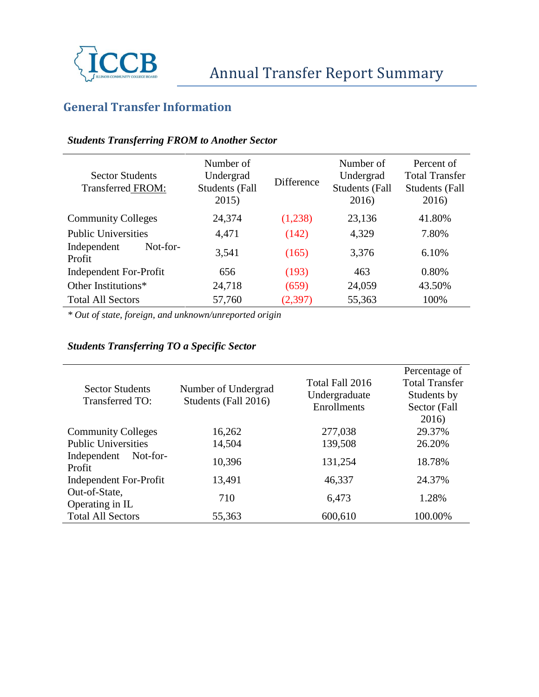

# **General Transfer Information**

### *Students Transferring FROM to Another Sector*

| <b>Sector Students</b><br><b>Transferred FROM:</b> | Number of<br>Undergrad<br><b>Students (Fall</b><br>2015) | Difference | Number of<br>Undergrad<br><b>Students (Fall</b><br>2016) | Percent of<br><b>Total Transfer</b><br><b>Students (Fall</b><br>2016) |
|----------------------------------------------------|----------------------------------------------------------|------------|----------------------------------------------------------|-----------------------------------------------------------------------|
| <b>Community Colleges</b>                          | 24,374                                                   | (1,238)    | 23,136                                                   | 41.80%                                                                |
| <b>Public Universities</b>                         | 4,471                                                    | (142)      | 4,329                                                    | 7.80%                                                                 |
| Not-for-<br>Independent<br>Profit                  | 3,541                                                    | (165)      | 3,376                                                    | 6.10%                                                                 |
| Independent For-Profit                             | 656                                                      | (193)      | 463                                                      | 0.80%                                                                 |
| Other Institutions*                                | 24,718                                                   | (659)      | 24,059                                                   | 43.50%                                                                |
| <b>Total All Sectors</b>                           | 57,760                                                   | (2,397)    | 55,363                                                   | 100%                                                                  |

*\* Out of state, foreign, and unknown/unreported origin*

### *Students Transferring TO a Specific Sector*

| <b>Sector Students</b><br><b>Transferred TO:</b> | Number of Undergrad<br>Students (Fall 2016) | Total Fall 2016 | Percentage of<br><b>Total Transfer</b> |
|--------------------------------------------------|---------------------------------------------|-----------------|----------------------------------------|
|                                                  |                                             | Undergraduate   | Students by                            |
|                                                  |                                             | Enrollments     | Sector (Fall                           |
|                                                  |                                             |                 | 2016)                                  |
| <b>Community Colleges</b>                        | 16,262                                      | 277,038         | 29.37%                                 |
| <b>Public Universities</b>                       | 14,504                                      | 139,508         | 26.20%                                 |
| Independent<br>Not-for-<br>Profit                | 10,396                                      | 131,254         | 18.78%                                 |
| Independent For-Profit                           | 13,491                                      | 46,337          | 24.37%                                 |
| Out-of-State,                                    | 710                                         | 6,473           | 1.28%                                  |
| Operating in IL                                  |                                             |                 |                                        |
| <b>Total All Sectors</b>                         | 55,363                                      | 600,610         | 100.00%                                |